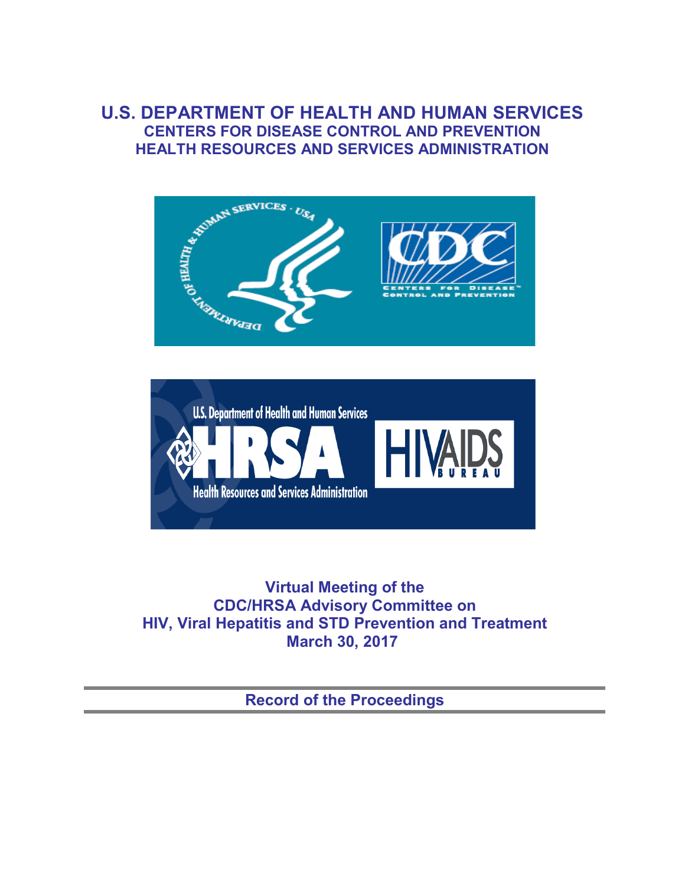## **U.S. DEPARTMENT OF HEALTH AND HUMAN SERVICES CENTERS FOR DISEASE CONTROL AND PREVENTION HEALTH RESOURCES AND SERVICES ADMINISTRATION**





**Virtual Meeting of the CDC/HRSA Advisory Committee on HIV, Viral Hepatitis and STD Prevention and Treatment March 30, 2017**

**Record of the Proceedings**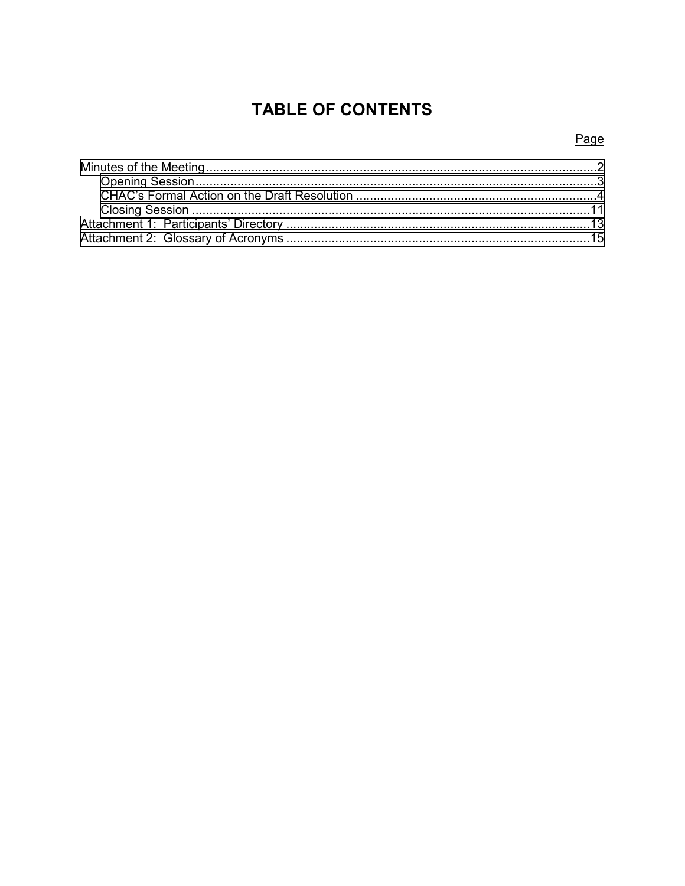# **TABLE OF CONTENTS**

## Page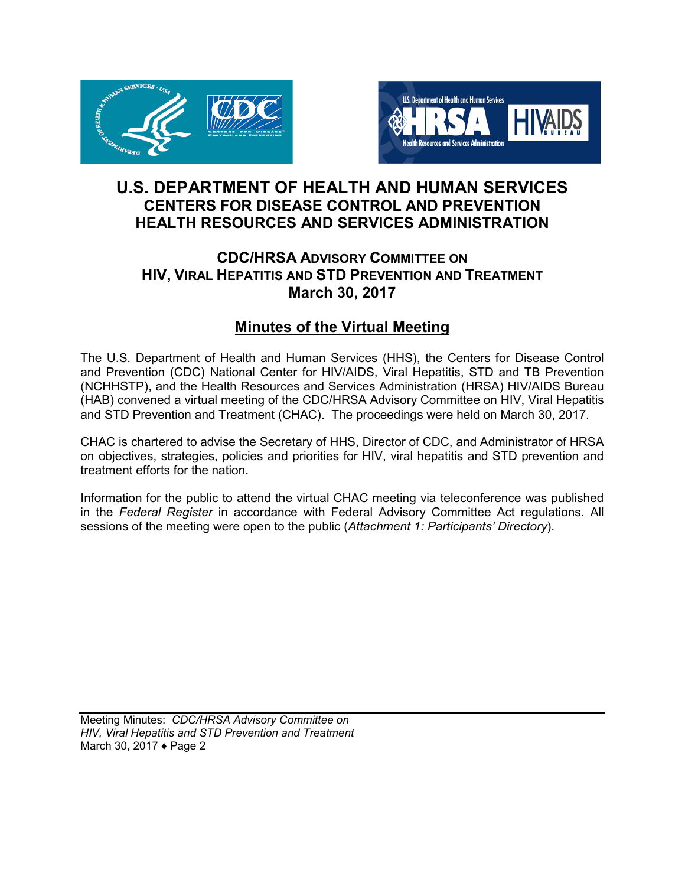<span id="page-2-0"></span>



## **U.S. DEPARTMENT OF HEALTH AND HUMAN SERVICES CENTERS FOR DISEASE CONTROL AND PREVENTION HEALTH RESOURCES AND SERVICES ADMINISTRATION**

## **CDC/HRSA ADVISORY COMMITTEE ON HIV, VIRAL HEPATITIS AND STD PREVENTION AND TREATMENT March 30, 2017**

## **Minutes of the Virtual Meeting**

The U.S. Department of Health and Human Services (HHS), the Centers for Disease Control and Prevention (CDC) National Center for HIV/AIDS, Viral Hepatitis, STD and TB Prevention (NCHHSTP), and the Health Resources and Services Administration (HRSA) HIV/AIDS Bureau (HAB) convened a virtual meeting of the CDC/HRSA Advisory Committee on HIV, Viral Hepatitis and STD Prevention and Treatment (CHAC). The proceedings were held on March 30, 2017.

CHAC is chartered to advise the Secretary of HHS, Director of CDC, and Administrator of HRSA on objectives, strategies, policies and priorities for HIV, viral hepatitis and STD prevention and treatment efforts for the nation.

Information for the public to attend the virtual CHAC meeting via teleconference was published in the *Federal Register* in accordance with Federal Advisory Committee Act regulations. All sessions of the meeting were open to the public (*Attachment 1: Participants' Directory*).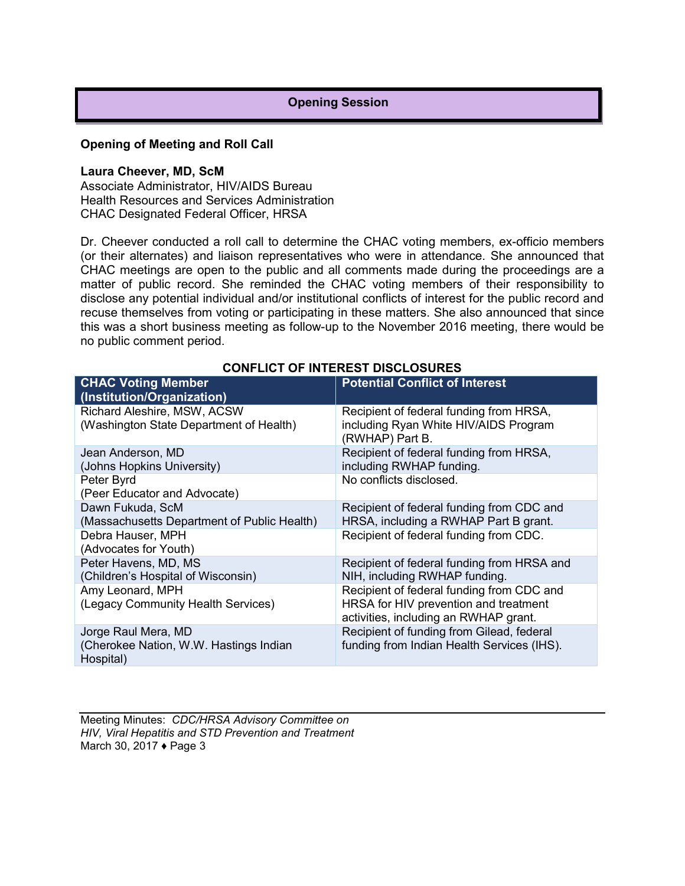#### **Opening Session**

#### <span id="page-3-0"></span>**Opening of Meeting and Roll Call**

#### **Laura Cheever, MD, ScM**

Associate Administrator, HIV/AIDS Bureau Health Resources and Services Administration CHAC Designated Federal Officer, HRSA

Dr. Cheever conducted a roll call to determine the CHAC voting members, ex-officio members (or their alternates) and liaison representatives who were in attendance. She announced that CHAC meetings are open to the public and all comments made during the proceedings are a matter of public record. She reminded the CHAC voting members of their responsibility to disclose any potential individual and/or institutional conflicts of interest for the public record and recuse themselves from voting or participating in these matters. She also announced that since this was a short business meeting as follow-up to the November 2016 meeting, there would be no public comment period.

| <b>CHAC Voting Member</b><br>(Institution/Organization)                    | <b>Potential Conflict of Interest</b>                                                                                       |
|----------------------------------------------------------------------------|-----------------------------------------------------------------------------------------------------------------------------|
| Richard Aleshire, MSW, ACSW<br>(Washington State Department of Health)     | Recipient of federal funding from HRSA,<br>including Ryan White HIV/AIDS Program<br>(RWHAP) Part B.                         |
| Jean Anderson, MD<br>(Johns Hopkins University)                            | Recipient of federal funding from HRSA,<br>including RWHAP funding.                                                         |
| Peter Byrd<br>(Peer Educator and Advocate)                                 | No conflicts disclosed.                                                                                                     |
| Dawn Fukuda, ScM<br>(Massachusetts Department of Public Health)            | Recipient of federal funding from CDC and<br>HRSA, including a RWHAP Part B grant.                                          |
| Debra Hauser, MPH<br>(Advocates for Youth)                                 | Recipient of federal funding from CDC.                                                                                      |
| Peter Havens, MD, MS<br>(Children's Hospital of Wisconsin)                 | Recipient of federal funding from HRSA and<br>NIH, including RWHAP funding.                                                 |
| Amy Leonard, MPH<br>(Legacy Community Health Services)                     | Recipient of federal funding from CDC and<br>HRSA for HIV prevention and treatment<br>activities, including an RWHAP grant. |
| Jorge Raul Mera, MD<br>(Cherokee Nation, W.W. Hastings Indian<br>Hospital) | Recipient of funding from Gilead, federal<br>funding from Indian Health Services (IHS).                                     |

#### **CONFLICT OF INTEREST DISCLOSURES**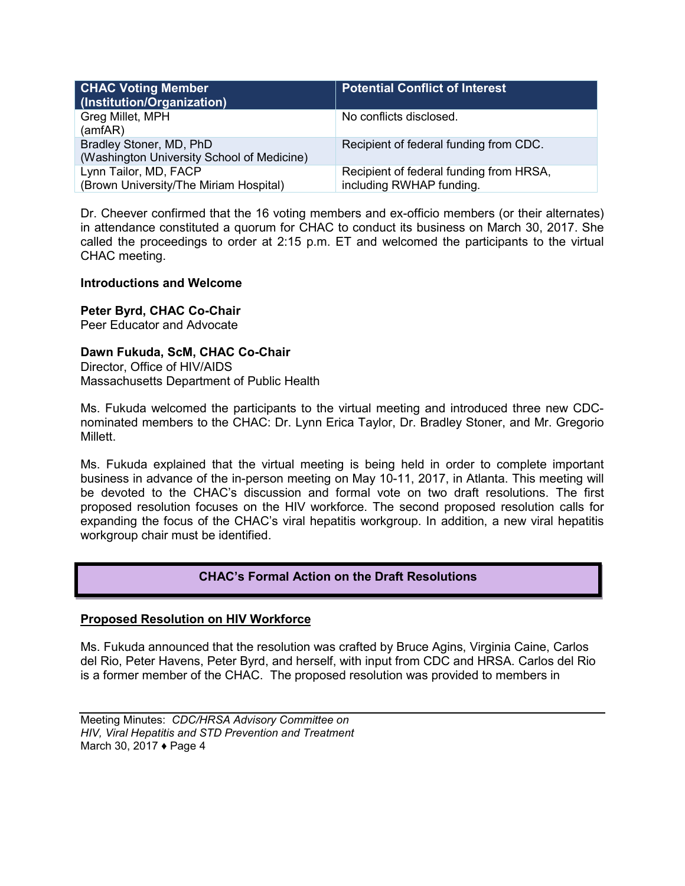<span id="page-4-0"></span>

| <b>CHAC Voting Member</b><br>(Institution/Organization)               | <b>Potential Conflict of Interest</b>                               |
|-----------------------------------------------------------------------|---------------------------------------------------------------------|
| Greg Millet, MPH<br>(amfAR)                                           | No conflicts disclosed.                                             |
| Bradley Stoner, MD, PhD<br>(Washington University School of Medicine) | Recipient of federal funding from CDC.                              |
| Lynn Tailor, MD, FACP<br>(Brown University/The Miriam Hospital)       | Recipient of federal funding from HRSA,<br>including RWHAP funding. |

Dr. Cheever confirmed that the 16 voting members and ex-officio members (or their alternates) in attendance constituted a quorum for CHAC to conduct its business on March 30, 2017. She called the proceedings to order at 2:15 p.m. ET and welcomed the participants to the virtual CHAC meeting.

#### **Introductions and Welcome**

**Peter Byrd, CHAC Co-Chair**

Peer Educator and Advocate

### **Dawn Fukuda, ScM, CHAC Co-Chair**

Director, Office of HIV/AIDS Massachusetts Department of Public Health

Ms. Fukuda welcomed the participants to the virtual meeting and introduced three new CDCnominated members to the CHAC: Dr. Lynn Erica Taylor, Dr. Bradley Stoner, and Mr. Gregorio Millett.

Ms. Fukuda explained that the virtual meeting is being held in order to complete important business in advance of the in-person meeting on May 10-11, 2017, in Atlanta. This meeting will be devoted to the CHAC's discussion and formal vote on two draft resolutions. The first proposed resolution focuses on the HIV workforce. The second proposed resolution calls for expanding the focus of the CHAC's viral hepatitis workgroup. In addition, a new viral hepatitis workgroup chair must be identified.

#### **CHAC's Formal Action on the Draft Resolutions**

#### **Proposed Resolution on HIV Workforce**

Ms. Fukuda announced that the resolution was crafted by Bruce Agins, Virginia Caine, Carlos del Rio, Peter Havens, Peter Byrd, and herself, with input from CDC and HRSA. Carlos del Rio is a former member of the CHAC. The proposed resolution was provided to members in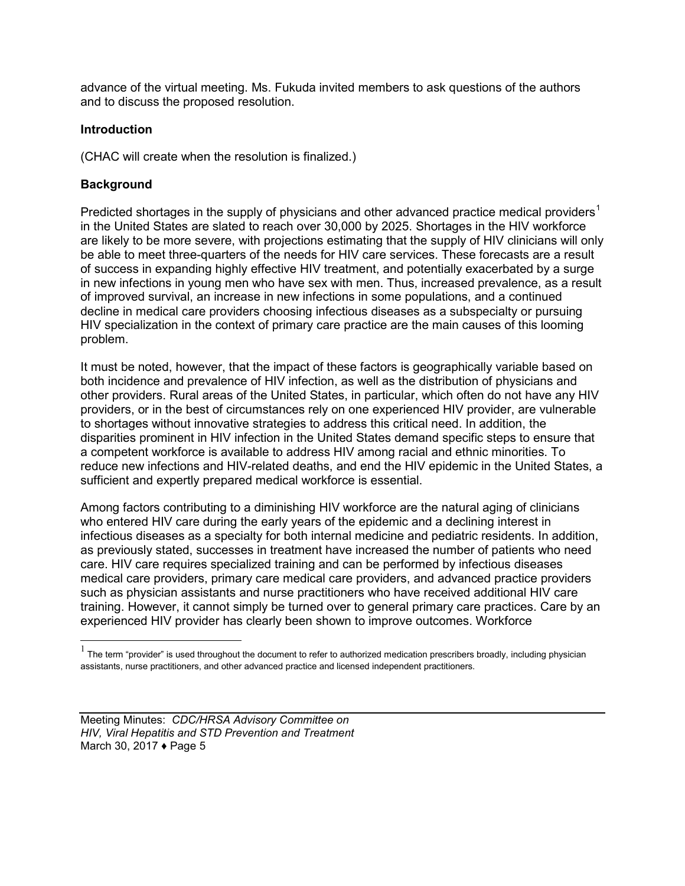advance of the virtual meeting. Ms. Fukuda invited members to ask questions of the authors and to discuss the proposed resolution.

#### **Introduction**

(CHAC will create when the resolution is finalized.)

#### **Background**

 $\overline{a}$ 

Predicted shortages in the supply of physicians and other advanced practice medical providers<sup>[1](#page-5-0)</sup> in the United States are slated to reach over 30,000 by 2025. Shortages in the HIV workforce are likely to be more severe, with projections estimating that the supply of HIV clinicians will only be able to meet three-quarters of the needs for HIV care services. These forecasts are a result of success in expanding highly effective HIV treatment, and potentially exacerbated by a surge in new infections in young men who have sex with men. Thus, increased prevalence, as a result of improved survival, an increase in new infections in some populations, and a continued decline in medical care providers choosing infectious diseases as a subspecialty or pursuing HIV specialization in the context of primary care practice are the main causes of this looming problem.

It must be noted, however, that the impact of these factors is geographically variable based on both incidence and prevalence of HIV infection, as well as the distribution of physicians and other providers. Rural areas of the United States, in particular, which often do not have any HIV providers, or in the best of circumstances rely on one experienced HIV provider, are vulnerable to shortages without innovative strategies to address this critical need. In addition, the disparities prominent in HIV infection in the United States demand specific steps to ensure that a competent workforce is available to address HIV among racial and ethnic minorities. To reduce new infections and HIV-related deaths, and end the HIV epidemic in the United States, a sufficient and expertly prepared medical workforce is essential.

Among factors contributing to a diminishing HIV workforce are the natural aging of clinicians who entered HIV care during the early years of the epidemic and a declining interest in infectious diseases as a specialty for both internal medicine and pediatric residents. In addition, as previously stated, successes in treatment have increased the number of patients who need care. HIV care requires specialized training and can be performed by infectious diseases medical care providers, primary care medical care providers, and advanced practice providers such as physician assistants and nurse practitioners who have received additional HIV care training. However, it cannot simply be turned over to general primary care practices. Care by an experienced HIV provider has clearly been shown to improve outcomes. Workforce

<span id="page-5-0"></span> $<sup>1</sup>$  The term "provider" is used throughout the document to refer to authorized medication prescribers broadly, including physician</sup> assistants, nurse practitioners, and other advanced practice and licensed independent practitioners.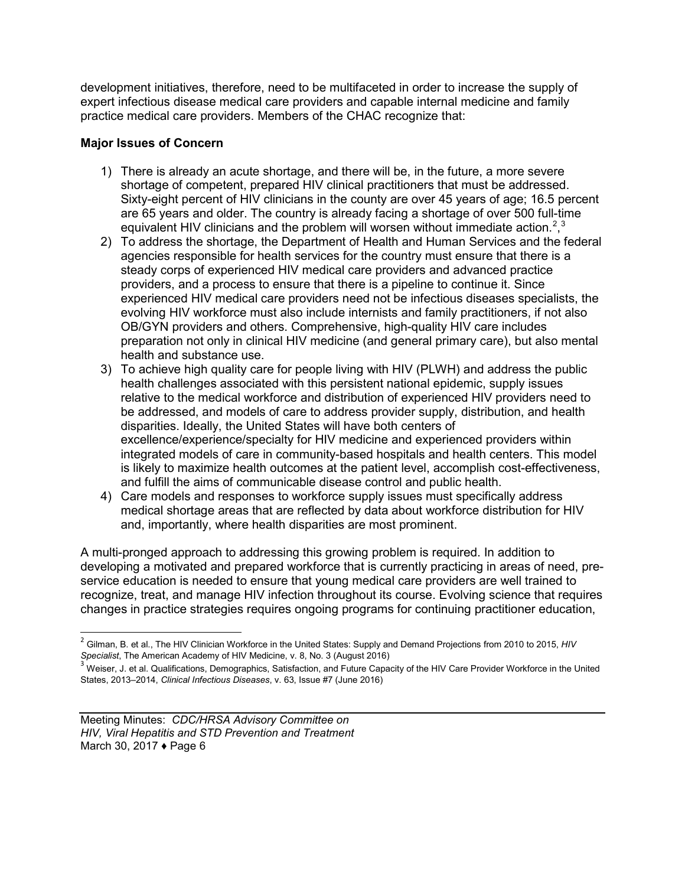development initiatives, therefore, need to be multifaceted in order to increase the supply of expert infectious disease medical care providers and capable internal medicine and family practice medical care providers. Members of the CHAC recognize that:

### **Major Issues of Concern**

- 1) There is already an acute shortage, and there will be, in the future, a more severe shortage of competent, prepared HIV clinical practitioners that must be addressed. Sixty-eight percent of HIV clinicians in the county are over 45 years of age; 16.5 percent are 65 years and older. The country is already facing a shortage of over 500 full-time equivalent HIV clinicians and the problem will worsen without immediate action.<sup>[2](#page-6-0)</sup>,<sup>[3](#page-6-1)</sup>
- 2) To address the shortage, the Department of Health and Human Services and the federal agencies responsible for health services for the country must ensure that there is a steady corps of experienced HIV medical care providers and advanced practice providers, and a process to ensure that there is a pipeline to continue it. Since experienced HIV medical care providers need not be infectious diseases specialists, the evolving HIV workforce must also include internists and family practitioners, if not also OB/GYN providers and others. Comprehensive, high-quality HIV care includes preparation not only in clinical HIV medicine (and general primary care), but also mental health and substance use.
- 3) To achieve high quality care for people living with HIV (PLWH) and address the public health challenges associated with this persistent national epidemic, supply issues relative to the medical workforce and distribution of experienced HIV providers need to be addressed, and models of care to address provider supply, distribution, and health disparities. Ideally, the United States will have both centers of excellence/experience/specialty for HIV medicine and experienced providers within integrated models of care in community-based hospitals and health centers. This model is likely to maximize health outcomes at the patient level, accomplish cost-effectiveness, and fulfill the aims of communicable disease control and public health.
- 4) Care models and responses to workforce supply issues must specifically address medical shortage areas that are reflected by data about workforce distribution for HIV and, importantly, where health disparities are most prominent.

A multi-pronged approach to addressing this growing problem is required. In addition to developing a motivated and prepared workforce that is currently practicing in areas of need, preservice education is needed to ensure that young medical care providers are well trained to recognize, treat, and manage HIV infection throughout its course. Evolving science that requires changes in practice strategies requires ongoing programs for continuing practitioner education,

 $\overline{a}$ 

<span id="page-6-0"></span><sup>2</sup> Gilman, B. et al., The HIV Clinician Workforce in the United States: Supply and Demand Projections from 2010 to 2015, *HIV Specialist*, The American Academy of HIV Medicine, v. 8, No. 3 (August 2016) 3 Medicine is not all the United 3 Weiser, J. et al. Qualifications, Demographics, Satisfaction, and Future Capacity of the HIV Care Provider Wo

<span id="page-6-1"></span>States, 2013–2014, *Clinical Infectious Diseases*, v. 63, Issue #7 (June 2016)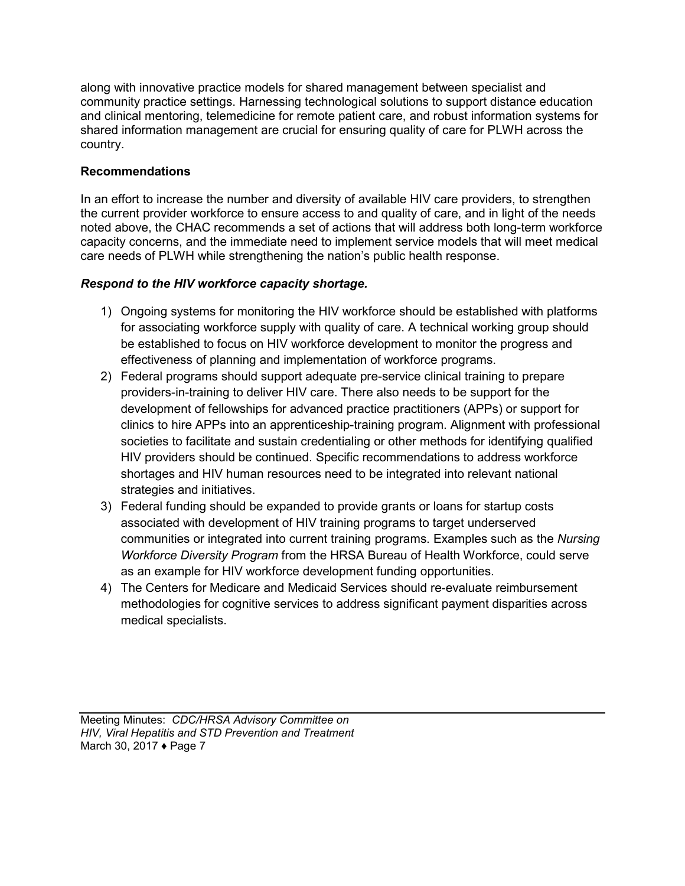along with innovative practice models for shared management between specialist and community practice settings. Harnessing technological solutions to support distance education and clinical mentoring, telemedicine for remote patient care, and robust information systems for shared information management are crucial for ensuring quality of care for PLWH across the country.

#### **Recommendations**

In an effort to increase the number and diversity of available HIV care providers, to strengthen the current provider workforce to ensure access to and quality of care, and in light of the needs noted above, the CHAC recommends a set of actions that will address both long-term workforce capacity concerns, and the immediate need to implement service models that will meet medical care needs of PLWH while strengthening the nation's public health response.

#### *Respond to the HIV workforce capacity shortage.*

- 1) Ongoing systems for monitoring the HIV workforce should be established with platforms for associating workforce supply with quality of care. A technical working group should be established to focus on HIV workforce development to monitor the progress and effectiveness of planning and implementation of workforce programs.
- 2) Federal programs should support adequate pre-service clinical training to prepare providers-in-training to deliver HIV care. There also needs to be support for the development of fellowships for advanced practice practitioners (APPs) or support for clinics to hire APPs into an apprenticeship-training program. Alignment with professional societies to facilitate and sustain credentialing or other methods for identifying qualified HIV providers should be continued. Specific recommendations to address workforce shortages and HIV human resources need to be integrated into relevant national strategies and initiatives.
- 3) Federal funding should be expanded to provide grants or loans for startup costs associated with development of HIV training programs to target underserved communities or integrated into current training programs. Examples such as the *Nursing Workforce Diversity Program* from the HRSA Bureau of Health Workforce, could serve as an example for HIV workforce development funding opportunities.
- 4) The Centers for Medicare and Medicaid Services should re-evaluate reimbursement methodologies for cognitive services to address significant payment disparities across medical specialists.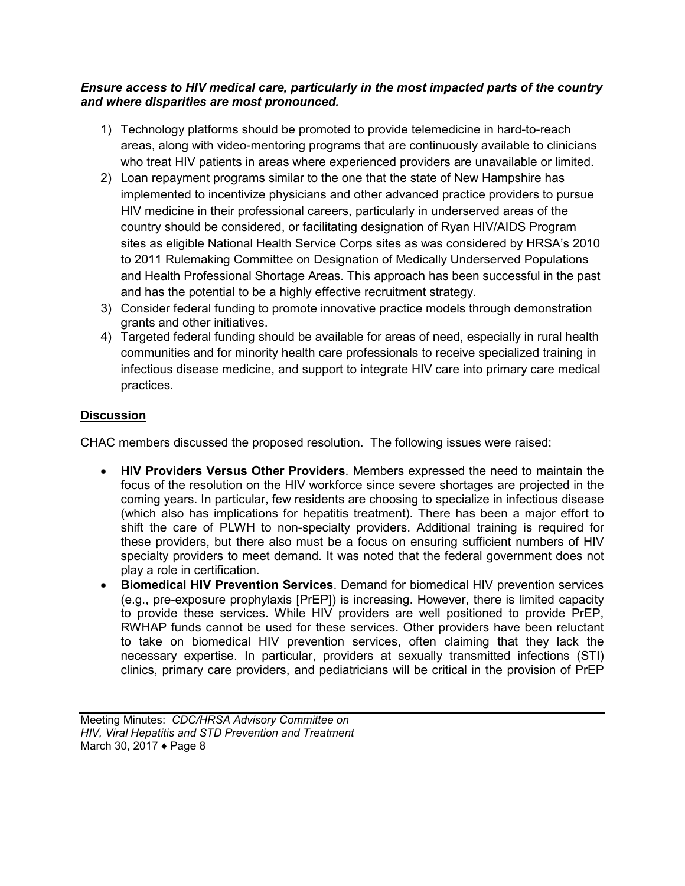#### *Ensure access to HIV medical care, particularly in the most impacted parts of the country and where disparities are most pronounced.*

- 1) Technology platforms should be promoted to provide telemedicine in hard-to-reach areas, along with video-mentoring programs that are continuously available to clinicians who treat HIV patients in areas where experienced providers are unavailable or limited.
- 2) Loan repayment programs similar to the one that the state of New Hampshire has implemented to incentivize physicians and other advanced practice providers to pursue HIV medicine in their professional careers, particularly in underserved areas of the country should be considered, or facilitating designation of Ryan HIV/AIDS Program sites as eligible National Health Service Corps sites as was considered by HRSA's 2010 to 2011 Rulemaking Committee on Designation of Medically Underserved Populations and Health Professional Shortage Areas. This approach has been successful in the past and has the potential to be a highly effective recruitment strategy.
- 3) Consider federal funding to promote innovative practice models through demonstration grants and other initiatives.
- 4) Targeted federal funding should be available for areas of need, especially in rural health communities and for minority health care professionals to receive specialized training in infectious disease medicine, and support to integrate HIV care into primary care medical practices.

## **Discussion**

CHAC members discussed the proposed resolution. The following issues were raised:

- **HIV Providers Versus Other Providers**. Members expressed the need to maintain the focus of the resolution on the HIV workforce since severe shortages are projected in the coming years. In particular, few residents are choosing to specialize in infectious disease (which also has implications for hepatitis treatment). There has been a major effort to shift the care of PLWH to non-specialty providers. Additional training is required for these providers, but there also must be a focus on ensuring sufficient numbers of HIV specialty providers to meet demand. It was noted that the federal government does not play a role in certification.
- **Biomedical HIV Prevention Services**. Demand for biomedical HIV prevention services (e.g., pre-exposure prophylaxis [PrEP]) is increasing. However, there is limited capacity to provide these services. While HIV providers are well positioned to provide PrEP, RWHAP funds cannot be used for these services. Other providers have been reluctant to take on biomedical HIV prevention services, often claiming that they lack the necessary expertise. In particular, providers at sexually transmitted infections (STI) clinics, primary care providers, and pediatricians will be critical in the provision of PrEP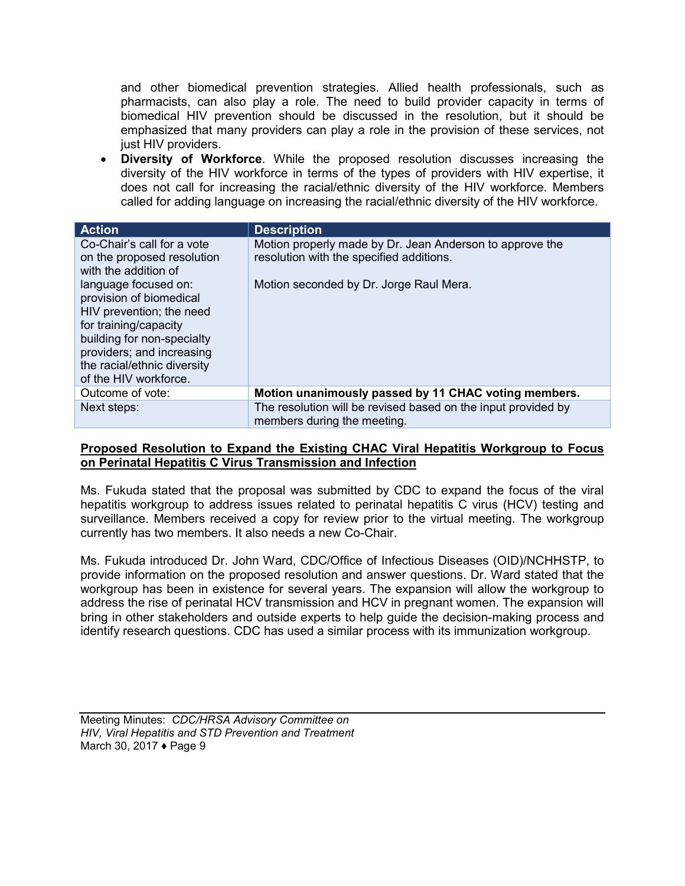and other biomedical prevention strategies. Allied health professionals, such as pharmacists, can also play a role. The need to build provider capacity in terms of biomedical HIV prevention should be discussed in the resolution, but it should be emphasized that many providers can play a role in the provision of these services, not just HIV providers.

• **Diversity of Workforce**. While the proposed resolution discusses increasing the diversity of the HIV workforce in terms of the types of providers with HIV expertise, it does not call for increasing the racial/ethnic diversity of the HIV workforce. Members called for adding language on increasing the racial/ethnic diversity of the HIV workforce.

| <b>Action</b>               | <b>Description</b>                                            |
|-----------------------------|---------------------------------------------------------------|
| Co-Chair's call for a vote  | Motion properly made by Dr. Jean Anderson to approve the      |
| on the proposed resolution  | resolution with the specified additions.                      |
| with the addition of        |                                                               |
| language focused on:        | Motion seconded by Dr. Jorge Raul Mera.                       |
| provision of biomedical     |                                                               |
| HIV prevention; the need    |                                                               |
| for training/capacity       |                                                               |
| building for non-specialty  |                                                               |
| providers; and increasing   |                                                               |
| the racial/ethnic diversity |                                                               |
| of the HIV workforce.       |                                                               |
| Outcome of vote:            | Motion unanimously passed by 11 CHAC voting members.          |
| Next steps:                 | The resolution will be revised based on the input provided by |
|                             | members during the meeting.                                   |

#### **Proposed Resolution to Expand the Existing CHAC Viral Hepatitis Workgroup to Focus on Perinatal Hepatitis C Virus Transmission and Infection**

Ms. Fukuda stated that the proposal was submitted by CDC to expand the focus of the viral hepatitis workgroup to address issues related to perinatal hepatitis C virus (HCV) testing and surveillance. Members received a copy for review prior to the virtual meeting. The workgroup currently has two members. It also needs a new Co-Chair.

Ms. Fukuda introduced Dr. John Ward, CDC/Office of Infectious Diseases (OID)/NCHHSTP, to provide information on the proposed resolution and answer questions. Dr. Ward stated that the workgroup has been in existence for several years. The expansion will allow the workgroup to address the rise of perinatal HCV transmission and HCV in pregnant women. The expansion will bring in other stakeholders and outside experts to help guide the decision-making process and identify research questions. CDC has used a similar process with its immunization workgroup.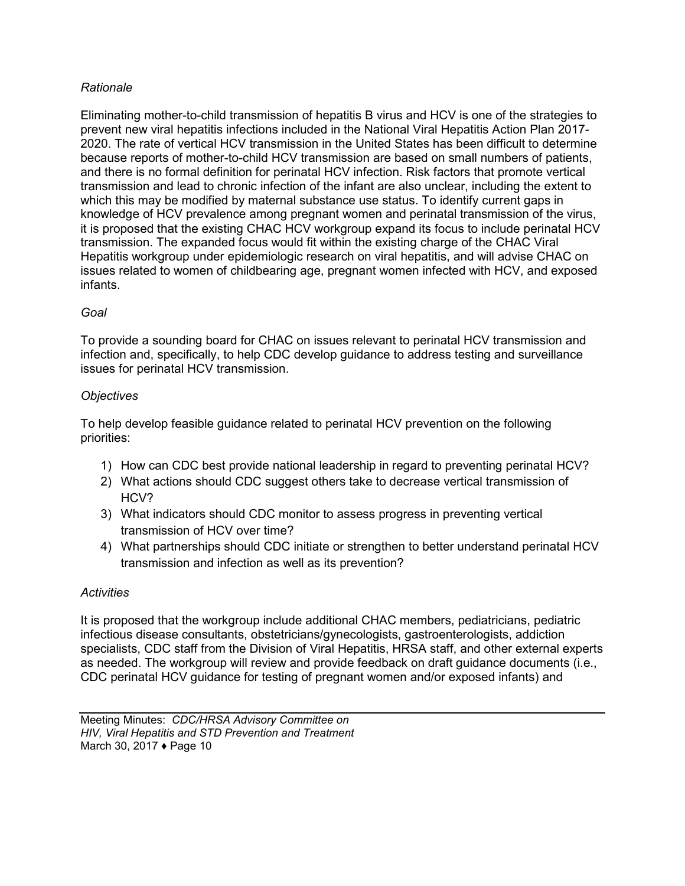#### *Rationale*

Eliminating mother-to-child transmission of hepatitis B virus and HCV is one of the strategies to prevent new viral hepatitis infections included in the National Viral Hepatitis Action Plan 2017- 2020. The rate of vertical HCV transmission in the United States has been difficult to determine because reports of mother-to-child HCV transmission are based on small numbers of patients, and there is no formal definition for perinatal HCV infection. Risk factors that promote vertical transmission and lead to chronic infection of the infant are also unclear, including the extent to which this may be modified by maternal substance use status. To identify current gaps in knowledge of HCV prevalence among pregnant women and perinatal transmission of the virus, it is proposed that the existing CHAC HCV workgroup expand its focus to include perinatal HCV transmission. The expanded focus would fit within the existing charge of the CHAC Viral Hepatitis workgroup under epidemiologic research on viral hepatitis, and will advise CHAC on issues related to women of childbearing age, pregnant women infected with HCV, and exposed infants.

## *Goal*

To provide a sounding board for CHAC on issues relevant to perinatal HCV transmission and infection and, specifically, to help CDC develop guidance to address testing and surveillance issues for perinatal HCV transmission.

#### *Objectives*

To help develop feasible guidance related to perinatal HCV prevention on the following priorities:

- 1) How can CDC best provide national leadership in regard to preventing perinatal HCV?
- 2) What actions should CDC suggest others take to decrease vertical transmission of HCV?
- 3) What indicators should CDC monitor to assess progress in preventing vertical transmission of HCV over time?
- 4) What partnerships should CDC initiate or strengthen to better understand perinatal HCV transmission and infection as well as its prevention?

#### *Activities*

It is proposed that the workgroup include additional CHAC members, pediatricians, pediatric infectious disease consultants, obstetricians/gynecologists, gastroenterologists, addiction specialists, CDC staff from the Division of Viral Hepatitis, HRSA staff, and other external experts as needed. The workgroup will review and provide feedback on draft guidance documents (i.e., CDC perinatal HCV guidance for testing of pregnant women and/or exposed infants) and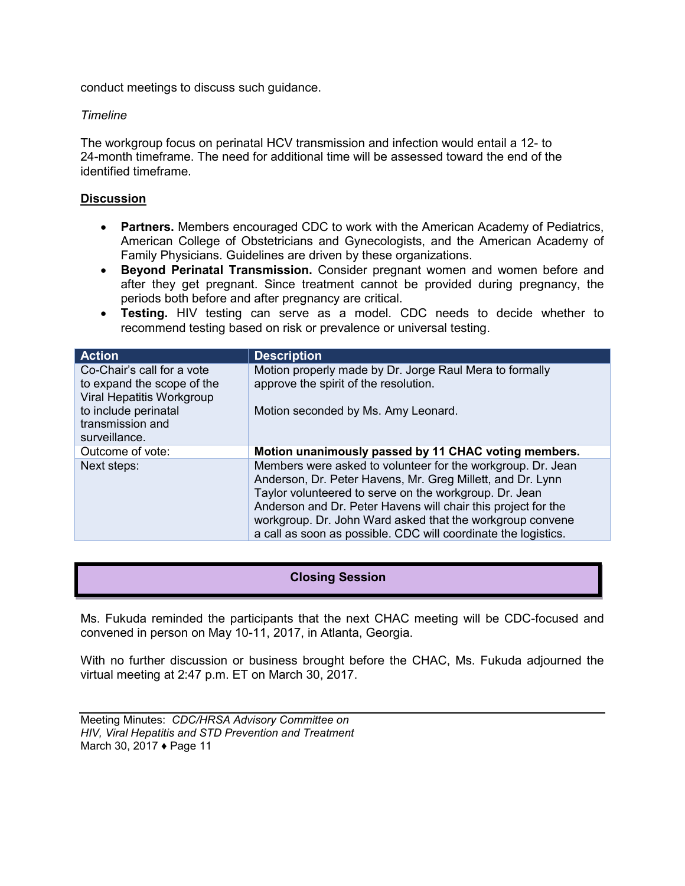<span id="page-11-0"></span>conduct meetings to discuss such guidance.

#### *Timeline*

The workgroup focus on perinatal HCV transmission and infection would entail a 12- to 24-month timeframe. The need for additional time will be assessed toward the end of the identified timeframe.

#### **Discussion**

- **Partners.** Members encouraged CDC to work with the American Academy of Pediatrics, American College of Obstetricians and Gynecologists, and the American Academy of Family Physicians. Guidelines are driven by these organizations.
- **Beyond Perinatal Transmission.** Consider pregnant women and women before and after they get pregnant. Since treatment cannot be provided during pregnancy, the periods both before and after pregnancy are critical.
- **Testing.** HIV testing can serve as a model. CDC needs to decide whether to recommend testing based on risk or prevalence or universal testing.

| <b>Action</b>                                                                         | <b>Description</b>                                                                                                                                                                                                                                                                                                                                                                  |
|---------------------------------------------------------------------------------------|-------------------------------------------------------------------------------------------------------------------------------------------------------------------------------------------------------------------------------------------------------------------------------------------------------------------------------------------------------------------------------------|
| Co-Chair's call for a vote<br>to expand the scope of the<br>Viral Hepatitis Workgroup | Motion properly made by Dr. Jorge Raul Mera to formally<br>approve the spirit of the resolution.                                                                                                                                                                                                                                                                                    |
| to include perinatal<br>transmission and<br>surveillance.                             | Motion seconded by Ms. Amy Leonard.                                                                                                                                                                                                                                                                                                                                                 |
| Outcome of vote:                                                                      | Motion unanimously passed by 11 CHAC voting members.                                                                                                                                                                                                                                                                                                                                |
| Next steps:                                                                           | Members were asked to volunteer for the workgroup. Dr. Jean<br>Anderson, Dr. Peter Havens, Mr. Greg Millett, and Dr. Lynn<br>Taylor volunteered to serve on the workgroup. Dr. Jean<br>Anderson and Dr. Peter Havens will chair this project for the<br>workgroup. Dr. John Ward asked that the workgroup convene<br>a call as soon as possible. CDC will coordinate the logistics. |

#### **Closing Session**

Ms. Fukuda reminded the participants that the next CHAC meeting will be CDC-focused and convened in person on May 10-11, 2017, in Atlanta, Georgia.

With no further discussion or business brought before the CHAC, Ms. Fukuda adjourned the virtual meeting at 2:47 p.m. ET on March 30, 2017.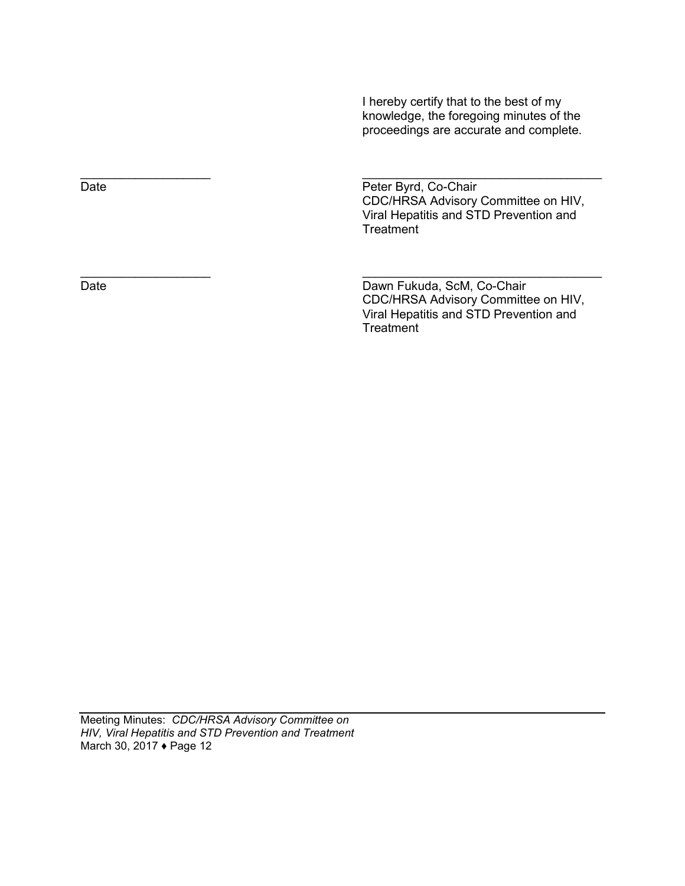I hereby certify that to the best of my knowledge, the foregoing minutes of the proceedings are accurate and complete.

Date **Date** Peter Byrd, Co-Chair CDC/HRSA Advisory Committee on HIV, Viral Hepatitis and STD Prevention and **Treatment** 

Date Date Dawn Fukuda, ScM, Co-Chair CDC/HRSA Advisory Committee on HIV, Viral Hepatitis and STD Prevention and **Treatment** 

 $\frac{1}{2}$  ,  $\frac{1}{2}$  ,  $\frac{1}{2}$  ,  $\frac{1}{2}$  ,  $\frac{1}{2}$  ,  $\frac{1}{2}$  ,  $\frac{1}{2}$  ,  $\frac{1}{2}$  ,  $\frac{1}{2}$  ,  $\frac{1}{2}$  ,  $\frac{1}{2}$  ,  $\frac{1}{2}$  ,  $\frac{1}{2}$  ,  $\frac{1}{2}$  ,  $\frac{1}{2}$  ,  $\frac{1}{2}$  ,  $\frac{1}{2}$  ,  $\frac{1}{2}$  ,  $\frac{1$ 

 $\overline{\phantom{a}}$  , and the contract of the contract of the contract of the contract of the contract of the contract of the contract of the contract of the contract of the contract of the contract of the contract of the contrac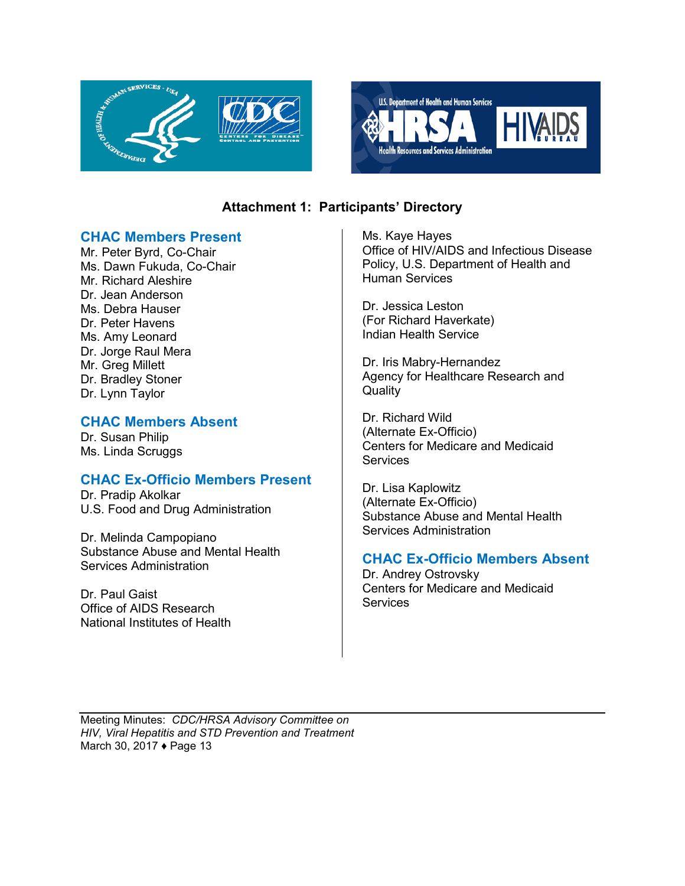<span id="page-13-0"></span>



## **Attachment 1: Participants' Directory**

#### **CHAC Members Present**

Mr. Peter Byrd, Co-Chair Ms. Dawn Fukuda, Co-Chair Mr. Richard Aleshire Dr. Jean Anderson Ms. Debra Hauser Dr. Peter Havens Ms. Amy Leonard Dr. Jorge Raul Mera Mr. Greg Millett Dr. Bradley Stoner Dr. Lynn Taylor

## **CHAC Members Absent**

Dr. Susan Philip Ms. Linda Scruggs

## **CHAC Ex-Officio Members Present**

Dr. Pradip Akolkar U.S. Food and Drug Administration

Dr. Melinda Campopiano Substance Abuse and Mental Health Services Administration

Dr. Paul Gaist Office of AIDS Research National Institutes of Health Ms. Kaye Hayes Office of HIV/AIDS and Infectious Disease Policy, U.S. Department of Health and Human Services

Dr. Jessica Leston (For Richard Haverkate) Indian Health Service

Dr. Iris Mabry-Hernandez Agency for Healthcare Research and **Quality** 

Dr. Richard Wild (Alternate Ex-Officio) Centers for Medicare and Medicaid **Services** 

Dr. Lisa Kaplowitz (Alternate Ex-Officio) Substance Abuse and Mental Health Services Administration

## **CHAC Ex-Officio Members Absent**

Dr. Andrey Ostrovsky Centers for Medicare and Medicaid **Services**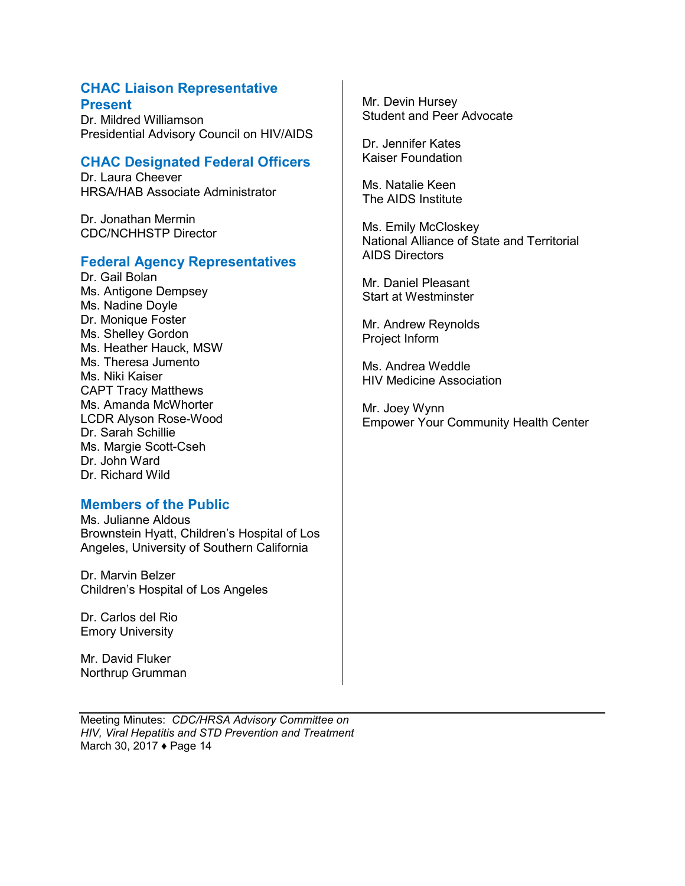### **CHAC Liaison Representative Present**

Dr. Mildred Williamson Presidential Advisory Council on HIV/AIDS

## **CHAC Designated Federal Officers**

Dr. Laura Cheever HRSA/HAB Associate Administrator

Dr. Jonathan Mermin CDC/NCHHSTP Director

#### **Federal Agency Representatives**

Dr. Gail Bolan Ms. Antigone Dempsey Ms. Nadine Doyle Dr. Monique Foster Ms. Shelley Gordon Ms. Heather Hauck, MSW Ms. Theresa Jumento Ms. Niki Kaiser CAPT Tracy Matthews Ms. Amanda McWhorter LCDR Alyson Rose-Wood Dr. Sarah Schillie Ms. Margie Scott-Cseh Dr. John Ward Dr. Richard Wild

#### **Members of the Public**

Ms. Julianne Aldous Brownstein Hyatt, Children's Hospital of Los Angeles, University of Southern California

Dr. Marvin Belzer Children's Hospital of Los Angeles

Dr. Carlos del Rio Emory University

Mr. David Fluker Northrup Grumman Mr. Devin Hursey Student and Peer Advocate

Dr. Jennifer Kates Kaiser Foundation

Ms. Natalie Keen The AIDS Institute

Ms. Emily McCloskey National Alliance of State and Territorial AIDS Directors

Mr. Daniel Pleasant Start at Westminster

Mr. Andrew Reynolds Project Inform

Ms. Andrea Weddle HIV Medicine Association

Mr. Joey Wynn Empower Your Community Health Center